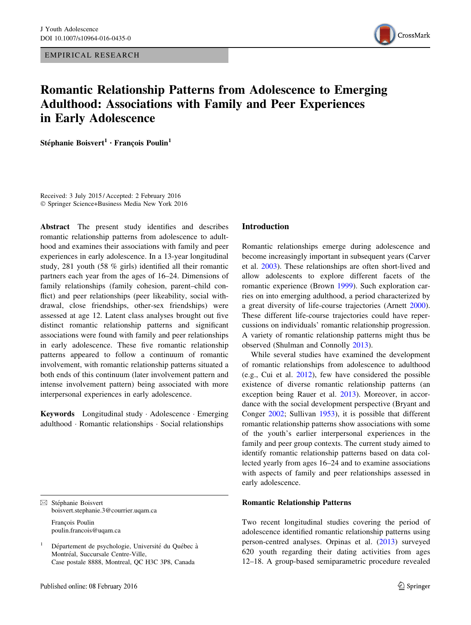EMPIRICAL RESEARCH



# Romantic Relationship Patterns from Adolescence to Emerging Adulthood: Associations with Family and Peer Experiences in Early Adolescence

Stéphanie Boisvert<sup>1</sup> · François Poulin<sup>1</sup>

Received: 3 July 2015 / Accepted: 2 February 2016 - Springer Science+Business Media New York 2016

Abstract The present study identifies and describes romantic relationship patterns from adolescence to adulthood and examines their associations with family and peer experiences in early adolescence. In a 13-year longitudinal study, 281 youth (58 % girls) identified all their romantic partners each year from the ages of 16–24. Dimensions of family relationships (family cohesion, parent–child conflict) and peer relationships (peer likeability, social withdrawal, close friendships, other-sex friendships) were assessed at age 12. Latent class analyses brought out five distinct romantic relationship patterns and significant associations were found with family and peer relationships in early adolescence. These five romantic relationship patterns appeared to follow a continuum of romantic involvement, with romantic relationship patterns situated a both ends of this continuum (later involvement pattern and intense involvement pattern) being associated with more interpersonal experiences in early adolescence.

Keywords Longitudinal study - Adolescence - Emerging adulthood - Romantic relationships - Social relationships

 $\boxtimes$  Stéphanie Boisvert boisvert.stephanie.3@courrier.uqam.ca François Poulin poulin.francois@uqam.ca

#### Introduction

Romantic relationships emerge during adolescence and become increasingly important in subsequent years (Carver et al. [2003\)](#page-11-0). These relationships are often short-lived and allow adolescents to explore different facets of the romantic experience (Brown [1999](#page-11-0)). Such exploration carries on into emerging adulthood, a period characterized by a great diversity of life-course trajectories (Arnett [2000](#page-11-0)). These different life-course trajectories could have repercussions on individuals' romantic relationship progression. A variety of romantic relationship patterns might thus be observed (Shulman and Connolly [2013](#page-12-0)).

While several studies have examined the development of romantic relationships from adolescence to adulthood (e.g., Cui et al. [2012\)](#page-11-0), few have considered the possible existence of diverse romantic relationship patterns (an exception being Rauer et al. [2013](#page-12-0)). Moreover, in accordance with the social development perspective (Bryant and Conger [2002;](#page-11-0) Sullivan [1953\)](#page-12-0), it is possible that different romantic relationship patterns show associations with some of the youth's earlier interpersonal experiences in the family and peer group contexts. The current study aimed to identify romantic relationship patterns based on data collected yearly from ages 16–24 and to examine associations with aspects of family and peer relationships assessed in early adolescence.

#### Romantic Relationship Patterns

Two recent longitudinal studies covering the period of adolescence identified romantic relationship patterns using person-centred analyses. Orpinas et al. ([2013\)](#page-12-0) surveyed 620 youth regarding their dating activities from ages 12–18. A group-based semiparametric procedure revealed

Département de psychologie, Université du Québec à Montréal, Succursale Centre-Ville, Case postale 8888, Montreal, QC H3C 3P8, Canada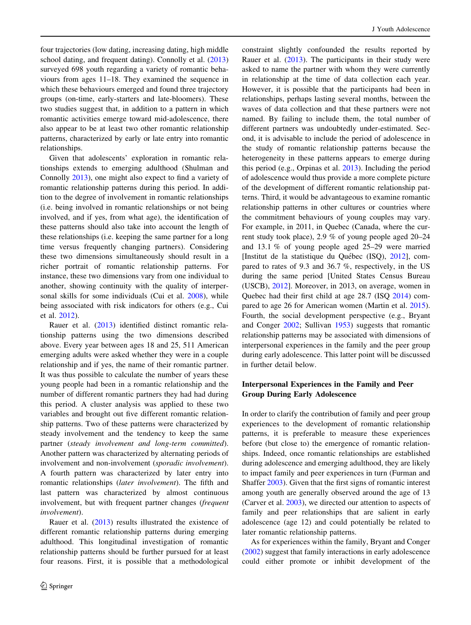four trajectories (low dating, increasing dating, high middle school dating, and frequent dating). Connolly et al. ([2013\)](#page-11-0) surveyed 698 youth regarding a variety of romantic behaviours from ages 11–18. They examined the sequence in which these behaviours emerged and found three trajectory groups (on-time, early-starters and late-bloomers). These two studies suggest that, in addition to a pattern in which romantic activities emerge toward mid-adolescence, there also appear to be at least two other romantic relationship patterns, characterized by early or late entry into romantic relationships.

Given that adolescents' exploration in romantic relationships extends to emerging adulthood (Shulman and Connolly [2013](#page-12-0)), one might also expect to find a variety of romantic relationship patterns during this period. In addition to the degree of involvement in romantic relationships (i.e. being involved in romantic relationships or not being involved, and if yes, from what age), the identification of these patterns should also take into account the length of these relationships (i.e. keeping the same partner for a long time versus frequently changing partners). Considering these two dimensions simultaneously should result in a richer portrait of romantic relationship patterns. For instance, these two dimensions vary from one individual to another, showing continuity with the quality of interpersonal skills for some individuals (Cui et al. [2008](#page-11-0)), while being associated with risk indicators for others (e.g., Cui et al. [2012\)](#page-11-0).

Rauer et al. ([2013\)](#page-12-0) identified distinct romantic relationship patterns using the two dimensions described above. Every year between ages 18 and 25, 511 American emerging adults were asked whether they were in a couple relationship and if yes, the name of their romantic partner. It was thus possible to calculate the number of years these young people had been in a romantic relationship and the number of different romantic partners they had had during this period. A cluster analysis was applied to these two variables and brought out five different romantic relationship patterns. Two of these patterns were characterized by steady involvement and the tendency to keep the same partner (steady involvement and long-term committed). Another pattern was characterized by alternating periods of involvement and non-involvement (sporadic involvement). A fourth pattern was characterized by later entry into romantic relationships (later involvement). The fifth and last pattern was characterized by almost continuous involvement, but with frequent partner changes (frequent involvement).

Rauer et al. ([2013\)](#page-12-0) results illustrated the existence of different romantic relationship patterns during emerging adulthood. This longitudinal investigation of romantic relationship patterns should be further pursued for at least four reasons. First, it is possible that a methodological constraint slightly confounded the results reported by Rauer et al. [\(2013](#page-12-0)). The participants in their study were asked to name the partner with whom they were currently in relationship at the time of data collection each year. However, it is possible that the participants had been in relationships, perhaps lasting several months, between the waves of data collection and that these partners were not named. By failing to include them, the total number of different partners was undoubtedly under-estimated. Second, it is advisable to include the period of adolescence in the study of romantic relationship patterns because the heterogeneity in these patterns appears to emerge during this period (e.g., Orpinas et al. [2013](#page-12-0)). Including the period of adolescence would thus provide a more complete picture of the development of different romantic relationship patterns. Third, it would be advantageous to examine romantic relationship patterns in other cultures or countries where the commitment behaviours of young couples may vary. For example, in 2011, in Quebec (Canada, where the current study took place), 2.9 % of young people aged 20–24 and 13.1 % of young people aged 25–29 were married [Institut de la statistique du Québec (ISQ), [2012](#page-12-0)], compared to rates of 9.3 and 36.7 %, respectively, in the US during the same period [United States Census Bureau (USCB), [2012](#page-12-0)]. Moreover, in 2013, on average, women in Quebec had their first child at age 28.7 (ISQ [2014\)](#page-12-0) compared to age 26 for American women (Martin et al. [2015](#page-12-0)). Fourth, the social development perspective (e.g., Bryant and Conger [2002;](#page-11-0) Sullivan [1953](#page-12-0)) suggests that romantic relationship patterns may be associated with dimensions of interpersonal experiences in the family and the peer group during early adolescence. This latter point will be discussed in further detail below.

## Interpersonal Experiences in the Family and Peer Group During Early Adolescence

In order to clarify the contribution of family and peer group experiences to the development of romantic relationship patterns, it is preferable to measure these experiences before (but close to) the emergence of romantic relationships. Indeed, once romantic relationships are established during adolescence and emerging adulthood, they are likely to impact family and peer experiences in turn (Furman and Shaffer [2003\)](#page-11-0). Given that the first signs of romantic interest among youth are generally observed around the age of 13 (Carver et al. [2003\)](#page-11-0), we directed our attention to aspects of family and peer relationships that are salient in early adolescence (age 12) and could potentially be related to later romantic relationship patterns.

As for experiences within the family, Bryant and Conger [\(2002](#page-11-0)) suggest that family interactions in early adolescence could either promote or inhibit development of the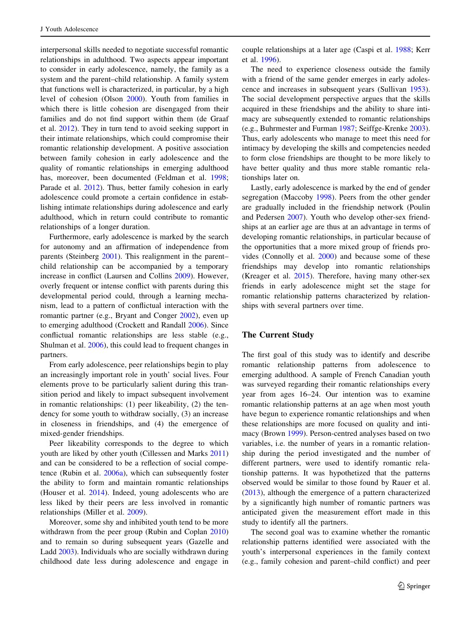interpersonal skills needed to negotiate successful romantic relationships in adulthood. Two aspects appear important to consider in early adolescence, namely, the family as a system and the parent–child relationship. A family system that functions well is characterized, in particular, by a high level of cohesion (Olson [2000](#page-12-0)). Youth from families in which there is little cohesion are disengaged from their families and do not find support within them (de Graaf et al. [2012](#page-11-0)). They in turn tend to avoid seeking support in their intimate relationships, which could compromise their romantic relationship development. A positive association between family cohesion in early adolescence and the quality of romantic relationships in emerging adulthood has, moreover, been documented (Feldman et al. [1998](#page-11-0); Parade et al. [2012](#page-12-0)). Thus, better family cohesion in early adolescence could promote a certain confidence in establishing intimate relationships during adolescence and early adulthood, which in return could contribute to romantic relationships of a longer duration.

Furthermore, early adolescence is marked by the search for autonomy and an affirmation of independence from parents (Steinberg [2001\)](#page-12-0). This realignment in the parent– child relationship can be accompanied by a temporary increase in conflict (Laursen and Collins [2009\)](#page-12-0). However, overly frequent or intense conflict with parents during this developmental period could, through a learning mechanism, lead to a pattern of conflictual interaction with the romantic partner (e.g., Bryant and Conger [2002](#page-11-0)), even up to emerging adulthood (Crockett and Randall [2006](#page-11-0)). Since conflictual romantic relationships are less stable (e.g., Shulman et al. [2006](#page-12-0)), this could lead to frequent changes in partners.

From early adolescence, peer relationships begin to play an increasingly important role in youth' social lives. Four elements prove to be particularly salient during this transition period and likely to impact subsequent involvement in romantic relationships: (1) peer likeability, (2) the tendency for some youth to withdraw socially, (3) an increase in closeness in friendships, and (4) the emergence of mixed-gender friendships.

Peer likeability corresponds to the degree to which youth are liked by other youth (Cillessen and Marks [2011\)](#page-11-0) and can be considered to be a reflection of social competence (Rubin et al. [2006a\)](#page-12-0), which can subsequently foster the ability to form and maintain romantic relationships (Houser et al. [2014](#page-12-0)). Indeed, young adolescents who are less liked by their peers are less involved in romantic relationships (Miller et al. [2009\)](#page-12-0).

Moreover, some shy and inhibited youth tend to be more withdrawn from the peer group (Rubin and Coplan [2010\)](#page-12-0) and to remain so during subsequent years (Gazelle and Ladd [2003](#page-11-0)). Individuals who are socially withdrawn during childhood date less during adolescence and engage in couple relationships at a later age (Caspi et al. [1988;](#page-11-0) Kerr et al. [1996\)](#page-12-0).

The need to experience closeness outside the family with a friend of the same gender emerges in early adolescence and increases in subsequent years (Sullivan [1953](#page-12-0)). The social development perspective argues that the skills acquired in these friendships and the ability to share intimacy are subsequently extended to romantic relationships (e.g., Buhrmester and Furman [1987;](#page-11-0) Seiffge-Krenke [2003](#page-12-0)). Thus, early adolescents who manage to meet this need for intimacy by developing the skills and competencies needed to form close friendships are thought to be more likely to have better quality and thus more stable romantic relationships later on.

Lastly, early adolescence is marked by the end of gender segregation (Maccoby [1998\)](#page-12-0). Peers from the other gender are gradually included in the friendship network (Poulin and Pedersen [2007](#page-12-0)). Youth who develop other-sex friendships at an earlier age are thus at an advantage in terms of developing romantic relationships, in particular because of the opportunities that a more mixed group of friends provides (Connolly et al. [2000\)](#page-11-0) and because some of these friendships may develop into romantic relationships (Kreager et al. [2015\)](#page-12-0). Therefore, having many other-sex friends in early adolescence might set the stage for romantic relationship patterns characterized by relationships with several partners over time.

## The Current Study

The first goal of this study was to identify and describe romantic relationship patterns from adolescence to emerging adulthood. A sample of French Canadian youth was surveyed regarding their romantic relationships every year from ages 16–24. Our intention was to examine romantic relationship patterns at an age when most youth have begun to experience romantic relationships and when these relationships are more focused on quality and intimacy (Brown [1999\)](#page-11-0). Person-centred analyses based on two variables, i.e. the number of years in a romantic relationship during the period investigated and the number of different partners, were used to identify romantic relationship patterns. It was hypothetized that the patterns observed would be similar to those found by Rauer et al. [\(2013](#page-12-0)), although the emergence of a pattern characterized by a significantly high number of romantic partners was anticipated given the measurement effort made in this study to identify all the partners.

The second goal was to examine whether the romantic relationship patterns identified were associated with the youth's interpersonal experiences in the family context (e.g., family cohesion and parent–child conflict) and peer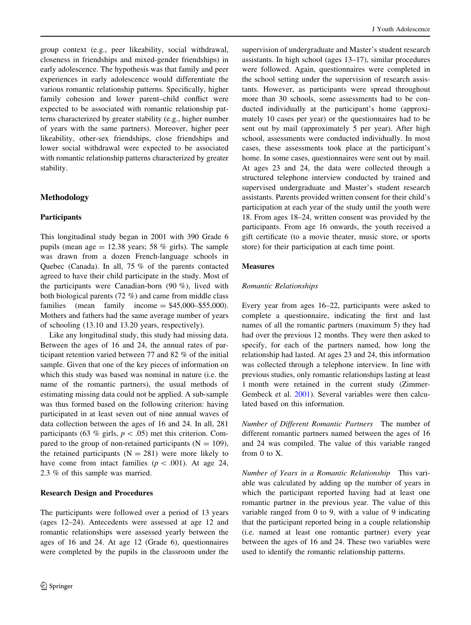group context (e.g., peer likeability, social withdrawal, closeness in friendships and mixed-gender friendships) in early adolescence. The hypothesis was that family and peer experiences in early adolescence would differentiate the various romantic relationship patterns. Specifically, higher family cohesion and lower parent–child conflict were expected to be associated with romantic relationship patterns characterized by greater stability (e.g., higher number of years with the same partners). Moreover, higher peer likeability, other-sex friendships, close friendships and lower social withdrawal were expected to be associated with romantic relationship patterns characterized by greater stability.

## Methodology

## Participants

This longitudinal study began in 2001 with 390 Grade 6 pupils (mean age  $= 12.38$  years; 58 % girls). The sample was drawn from a dozen French-language schools in Quebec (Canada). In all, 75 % of the parents contacted agreed to have their child participate in the study. Most of the participants were Canadian-born (90 %), lived with both biological parents (72 %) and came from middle class families (mean family income  $= $45,000 - $55,000$ ). Mothers and fathers had the same average number of years of schooling (13.10 and 13.20 years, respectively).

Like any longitudinal study, this study had missing data. Between the ages of 16 and 24, the annual rates of participant retention varied between 77 and 82 % of the initial sample. Given that one of the key pieces of information on which this study was based was nominal in nature (i.e. the name of the romantic partners), the usual methods of estimating missing data could not be applied. A sub-sample was thus formed based on the following criterion: having participated in at least seven out of nine annual waves of data collection between the ages of 16 and 24. In all, 281 participants (63 % girls,  $p < .05$ ) met this criterion. Compared to the group of non-retained participants ( $N = 109$ ), the retained participants  $(N = 281)$  were more likely to have come from intact families ( $p \lt .001$ ). At age 24, 2.3 % of this sample was married.

#### Research Design and Procedures

The participants were followed over a period of 13 years (ages 12–24). Antecedents were assessed at age 12 and romantic relationships were assessed yearly between the ages of 16 and 24. At age 12 (Grade 6), questionnaires were completed by the pupils in the classroom under the supervision of undergraduate and Master's student research assistants. In high school (ages 13–17), similar procedures were followed. Again, questionnaires were completed in the school setting under the supervision of research assistants. However, as participants were spread throughout more than 30 schools, some assessments had to be conducted individually at the participant's home (approximately 10 cases per year) or the questionnaires had to be sent out by mail (approximately 5 per year). After high school, assessments were conducted individually. In most cases, these assessments took place at the participant's home. In some cases, questionnaires were sent out by mail. At ages 23 and 24, the data were collected through a structured telephone interview conducted by trained and supervised undergraduate and Master's student research assistants. Parents provided written consent for their child's participation at each year of the study until the youth were 18. From ages 18–24, written consent was provided by the participants. From age 16 onwards, the youth received a gift certificate (to a movie theater, music store, or sports store) for their participation at each time point.

#### Measures

#### Romantic Relationships

Every year from ages 16–22, participants were asked to complete a questionnaire, indicating the first and last names of all the romantic partners (maximum 5) they had had over the previous 12 months. They were then asked to specify, for each of the partners named, how long the relationship had lasted. At ages 23 and 24, this information was collected through a telephone interview. In line with previous studies, only romantic relationships lasting at least 1 month were retained in the current study (Zimmer-Gembeck et al. [2001\)](#page-12-0). Several variables were then calculated based on this information.

Number of Different Romantic Partners The number of different romantic partners named between the ages of 16 and 24 was compiled. The value of this variable ranged from 0 to X.

Number of Years in a Romantic Relationship This variable was calculated by adding up the number of years in which the participant reported having had at least one romantic partner in the previous year. The value of this variable ranged from 0 to 9, with a value of 9 indicating that the participant reported being in a couple relationship (i.e. named at least one romantic partner) every year between the ages of 16 and 24. These two variables were used to identify the romantic relationship patterns.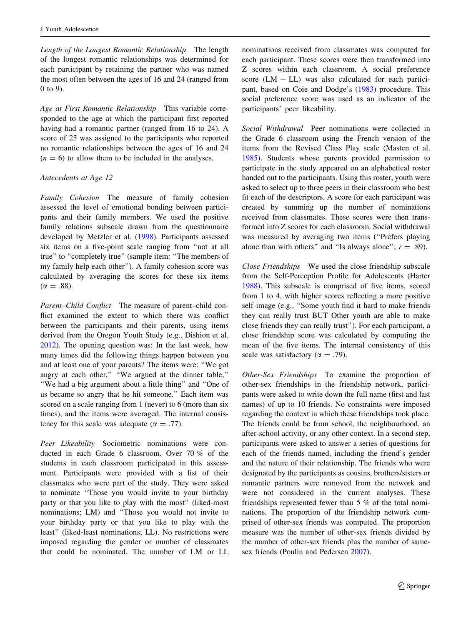Length of the Longest Romantic Relationship The length of the longest romantic relationships was determined for each participant by retaining the partner who was named the most often between the ages of 16 and 24 (ranged from 0 to 9).

Age at First Romantic Relationship This variable corresponded to the age at which the participant first reported having had a romantic partner (ranged from 16 to 24). A score of 25 was assigned to the participants who reported no romantic relationships between the ages of 16 and 24  $(n = 6)$  to allow them to be included in the analyses.

#### Antecedents at Age 12

Family Cohesion The measure of family cohesion assessed the level of emotional bonding between participants and their family members. We used the positive family relations subscale drawn from the questionnaire developed by Metzler et al. [\(1998](#page-12-0)). Participants assessed six items on a five-point scale ranging from ''not at all true" to "completely true" (sample item: "The members of my family help each other''). A family cohesion score was calculated by averaging the scores for these six items  $(\alpha = .88)$ .

Parent–Child Conflict The measure of parent–child conflict examined the extent to which there was conflict between the participants and their parents, using items derived from the Oregon Youth Study (e.g., Dishion et al. [2012\)](#page-11-0). The opening question was: In the last week, how many times did the following things happen between you and at least one of your parents? The items were: ''We got angry at each other,'' ''We argued at the dinner table,'' ''We had a big argument about a little thing'' and ''One of us became so angry that he hit someone.'' Each item was scored on a scale ranging from 1 (never) to 6 (more than six times), and the items were averaged. The internal consistency for this scale was adequate ( $\alpha = .77$ ).

Peer Likeability Sociometric nominations were conducted in each Grade 6 classroom. Over 70 % of the students in each classroom participated in this assessment. Participants were provided with a list of their classmates who were part of the study. They were asked to nominate ''Those you would invite to your birthday party or that you like to play with the most'' (liked-most nominations; LM) and ''Those you would not invite to your birthday party or that you like to play with the least'' (liked-least nominations; LL). No restrictions were imposed regarding the gender or number of classmates that could be nominated. The number of LM or LL

nominations received from classmates was computed for each participant. These scores were then transformed into Z scores within each classroom. A social preference score  $(LM - LL)$  was also calculated for each participant, based on Coie and Dodge's ([1983\)](#page-11-0) procedure. This social preference score was used as an indicator of the participants' peer likeability.

Social Withdrawal Peer nominations were collected in the Grade 6 classroom using the French version of the items from the Revised Class Play scale (Masten et al. [1985](#page-12-0)). Students whose parents provided permission to participate in the study appeared on an alphabetical roster handed out to the participants. Using this roster, youth were asked to select up to three peers in their classroom who best fit each of the descriptors. A score for each participant was created by summing up the number of nominations received from classmates. These scores were then transformed into Z scores for each classroom. Social withdrawal was measured by averaging two items (''Prefers playing alone than with others" and "Is always alone";  $r = .89$ ).

Close Friendships We used the close friendship subscale from the Self-Perception Profile for Adolescents (Harter [1988](#page-11-0)). This subscale is comprised of five items, scored from 1 to 4, with higher scores reflecting a more positive self-image (e.g., ''Some youth find it hard to make friends they can really trust BUT Other youth are able to make close friends they can really trust''). For each participant, a close friendship score was calculated by computing the mean of the five items. The internal consistency of this scale was satisfactory ( $\alpha = .79$ ).

Other-Sex Friendships To examine the proportion of other-sex friendships in the friendship network, participants were asked to write down the full name (first and last names) of up to 10 friends. No constraints were imposed regarding the context in which these friendships took place. The friends could be from school, the neighbourhood, an after-school activity, or any other context. In a second step, participants were asked to answer a series of questions for each of the friends named, including the friend's gender and the nature of their relationship. The friends who were designated by the participants as cousins, brothers/sisters or romantic partners were removed from the network and were not considered in the current analyses. These friendships represented fewer than 5 % of the total nominations. The proportion of the friendship network comprised of other-sex friends was computed. The proportion measure was the number of other-sex friends divided by the number of other-sex friends plus the number of samesex friends (Poulin and Pedersen [2007\)](#page-12-0).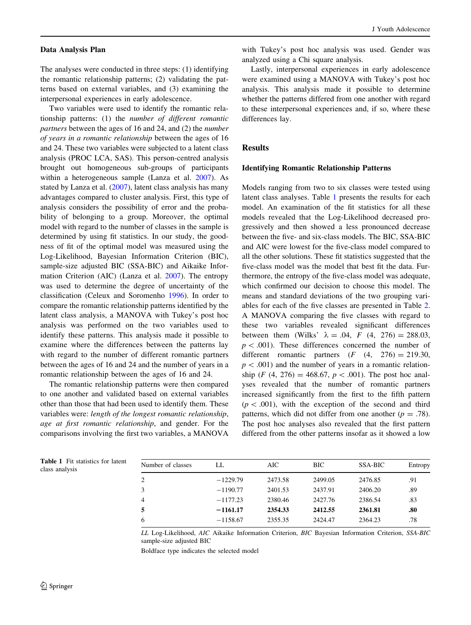#### Data Analysis Plan

The analyses were conducted in three steps: (1) identifying the romantic relationship patterns; (2) validating the patterns based on external variables, and (3) examining the interpersonal experiences in early adolescence.

Two variables were used to identify the romantic relationship patterns: (1) the number of different romantic partners between the ages of 16 and 24, and (2) the number of years in a romantic relationship between the ages of 16 and 24. These two variables were subjected to a latent class analysis (PROC LCA, SAS). This person-centred analysis brought out homogeneous sub-groups of participants within a heterogeneous sample (Lanza et al. [2007](#page-12-0)). As stated by Lanza et al. ([2007\)](#page-12-0), latent class analysis has many advantages compared to cluster analysis. First, this type of analysis considers the possibility of error and the probability of belonging to a group. Moreover, the optimal model with regard to the number of classes in the sample is determined by using fit statistics. In our study, the goodness of fit of the optimal model was measured using the Log-Likelihood, Bayesian Information Criterion (BIC), sample-size adjusted BIC (SSA-BIC) and Aikaike Information Criterion (AIC) (Lanza et al. [2007\)](#page-12-0). The entropy was used to determine the degree of uncertainty of the classification (Celeux and Soromenho [1996](#page-11-0)). In order to compare the romantic relationship patterns identified by the latent class analysis, a MANOVA with Tukey's post hoc analysis was performed on the two variables used to identify these patterns. This analysis made it possible to examine where the differences between the patterns lay with regard to the number of different romantic partners between the ages of 16 and 24 and the number of years in a romantic relationship between the ages of 16 and 24.

The romantic relationship patterns were then compared to one another and validated based on external variables other than those that had been used to identify them. These variables were: length of the longest romantic relationship, age at first romantic relationship, and gender. For the comparisons involving the first two variables, a MANOVA

with Tukey's post hoc analysis was used. Gender was analyzed using a Chi square analysis.

Lastly, interpersonal experiences in early adolescence were examined using a MANOVA with Tukey's post hoc analysis. This analysis made it possible to determine whether the patterns differed from one another with regard to these interpersonal experiences and, if so, where these differences lay.

## Results

#### Identifying Romantic Relationship Patterns

Models ranging from two to six classes were tested using latent class analyses. Table 1 presents the results for each model. An examination of the fit statistics for all these models revealed that the Log-Likelihood decreased progressively and then showed a less pronounced decrease between the five- and six-class models. The BIC, SSA-BIC and AIC were lowest for the five-class model compared to all the other solutions. These fit statistics suggested that the five-class model was the model that best fit the data. Furthermore, the entropy of the five-class model was adequate, which confirmed our decision to choose this model. The means and standard deviations of the two grouping variables for each of the five classes are presented in Table [2.](#page-6-0) A MANOVA comparing the five classes with regard to these two variables revealed significant differences between them (Wilks'  $\lambda = .04$ , F (4, 276) = 288.03,  $p$  < 001). These differences concerned the number of different romantic partners  $(F (4, 276) = 219.30,$  $p<.001$ ) and the number of years in a romantic relationship (F (4, 276) = 468.67,  $p < .001$ ). The post hoc analyses revealed that the number of romantic partners increased significantly from the first to the fifth pattern  $(p\lt .001)$ , with the exception of the second and third patterns, which did not differ from one another ( $p = .78$ ). The post hoc analyses also revealed that the first pattern differed from the other patterns insofar as it showed a low

| <b>Table 1</b> Fit statistics for latent<br>class analysis | Number of classes | LL         | AIC     | BIC     | <b>SSA-BIC</b> | Entropy |
|------------------------------------------------------------|-------------------|------------|---------|---------|----------------|---------|
|                                                            | ∠                 | $-1229.79$ | 2473.58 | 2499.05 | 2476.85        | .91     |
|                                                            |                   | $-1190.77$ | 2401.53 | 2437.91 | 2406.20        | .89     |
|                                                            | 4                 | $-1177.23$ | 2380.46 | 2427.76 | 2386.54        | .83     |
|                                                            |                   | $-1161.17$ | 2354.33 | 2412.55 | 2361.81        | .80     |
|                                                            |                   | $-1158.67$ | 2355.35 | 2424.47 | 2364.23        | .78     |
|                                                            |                   |            |         |         |                |         |

LL Log-Likelihood, AIC Aikaike Information Criterion, BIC Bayesian Information Criterion, SSA-BIC sample-size adjusted BIC

Boldface type indicates the selected model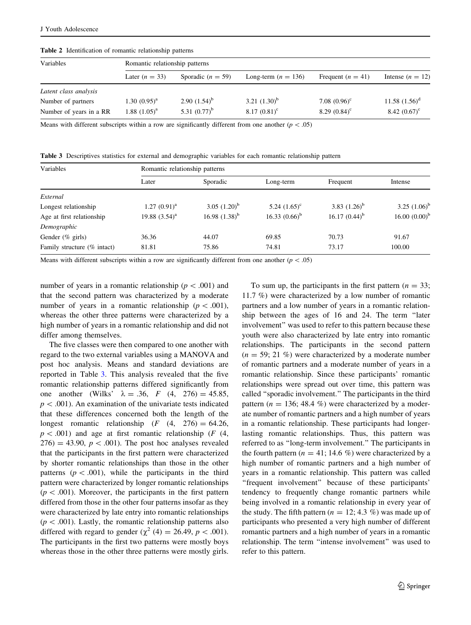| Variables               | Romantic relationship patterns |                     |                       |                       |                    |  |  |
|-------------------------|--------------------------------|---------------------|-----------------------|-----------------------|--------------------|--|--|
|                         | Later $(n = 33)$               | Sporadic $(n = 59)$ | Long-term $(n = 136)$ | Frequent $(n = 41)$   | Intense $(n = 12)$ |  |  |
| Latent class analysis   |                                |                     |                       |                       |                    |  |  |
| Number of partners      | 1.30 $(0.95)^a$                | 2.90 $(1.54)^b$     | 3.21 $(1.30)^b$       | 7.08 $(0.96)^{\circ}$ | $11.58$ $(1.56)^d$ |  |  |
| Number of years in a RR | 1.88 $(1.05)^a$                | 5.31 $(0.77)^{b}$   | $8.17 (0.81)^c$       | 8.29 $(0.84)^c$       | 8.42 $(0.67)^c$    |  |  |

<span id="page-6-0"></span>Table 2 Identification of romantic relationship patterns

Means with different subscripts within a row are significantly different from one another ( $p < .05$ )

Table 3 Descriptives statistics for external and demographic variables for each romantic relationship pattern

| Variables                   | Romantic relationship patterns |                  |                       |                     |                  |  |  |
|-----------------------------|--------------------------------|------------------|-----------------------|---------------------|------------------|--|--|
|                             | Later<br>Sporadic<br>Long-term |                  |                       | Frequent<br>Intense |                  |  |  |
| External                    |                                |                  |                       |                     |                  |  |  |
| Longest relationship        | $1.27 (0.91)^a$                | 3.05 $(1.20)^b$  | 5.24 $(1.65)^{\circ}$ | 3.83 $(1.26)^b$     | 3.25 $(1.06)^b$  |  |  |
| Age at first relationship   | 19.88 $(3.54)^a$               | 16.98 $(1.38)^b$ | 16.33 $(0.66)^b$      | 16.17 $(0.44)^{b}$  | 16.00 $(0.00)^b$ |  |  |
| Demographic                 |                                |                  |                       |                     |                  |  |  |
| Gender $(\%$ girls)         | 36.36                          | 44.07            | 69.85                 | 70.73               | 91.67            |  |  |
| Family structure (% intact) | 81.81                          | 75.86            | 74.81                 | 73.17               | 100.00           |  |  |

Means with different subscripts within a row are significantly different from one another ( $p < .05$ )

number of years in a romantic relationship ( $p\lt 0.001$ ) and that the second pattern was characterized by a moderate number of years in a romantic relationship ( $p\lt0001$ ), whereas the other three patterns were characterized by a high number of years in a romantic relationship and did not differ among themselves.

The five classes were then compared to one another with regard to the two external variables using a MANOVA and post hoc analysis. Means and standard deviations are reported in Table 3. This analysis revealed that the five romantic relationship patterns differed significantly from one another (Wilks'  $\lambda = .36$ , F (4, 276) = 45.85,  $p\lt 0.001$ ). An examination of the univariate tests indicated that these differences concerned both the length of the longest romantic relationship  $(F (4, 276) = 64.26,$  $p<.001$ ) and age at first romantic relationship (F (4,  $276$ ) = 43.90,  $p < .001$ ). The post hoc analyses revealed that the participants in the first pattern were characterized by shorter romantic relationships than those in the other patterns ( $p < .001$ ), while the participants in the third pattern were characterized by longer romantic relationships  $(p<.001)$ . Moreover, the participants in the first pattern differed from those in the other four patterns insofar as they were characterized by late entry into romantic relationships  $(p<.001)$ . Lastly, the romantic relationship patterns also differed with regard to gender ( $\chi^2$  (4) = 26.49, p < .001). The participants in the first two patterns were mostly boys whereas those in the other three patterns were mostly girls.

To sum up, the participants in the first pattern ( $n = 33$ ; 11.7 %) were characterized by a low number of romantic partners and a low number of years in a romantic relationship between the ages of 16 and 24. The term ''later involvement'' was used to refer to this pattern because these youth were also characterized by late entry into romantic relationships. The participants in the second pattern  $(n = 59; 21 \%)$  were characterized by a moderate number of romantic partners and a moderate number of years in a romantic relationship. Since these participants' romantic relationships were spread out over time, this pattern was called ''sporadic involvement.'' The participants in the third pattern ( $n = 136$ ; 48.4 %) were characterized by a moderate number of romantic partners and a high number of years in a romantic relationship. These participants had longerlasting romantic relationships. Thus, this pattern was referred to as ''long-term involvement.'' The participants in the fourth pattern ( $n = 41$ ; 14.6 %) were characterized by a high number of romantic partners and a high number of years in a romantic relationship. This pattern was called "frequent involvement" because of these participants' tendency to frequently change romantic partners while being involved in a romantic relationship in every year of the study. The fifth pattern ( $n = 12; 4.3 \%$ ) was made up of participants who presented a very high number of different romantic partners and a high number of years in a romantic relationship. The term ''intense involvement'' was used to refer to this pattern.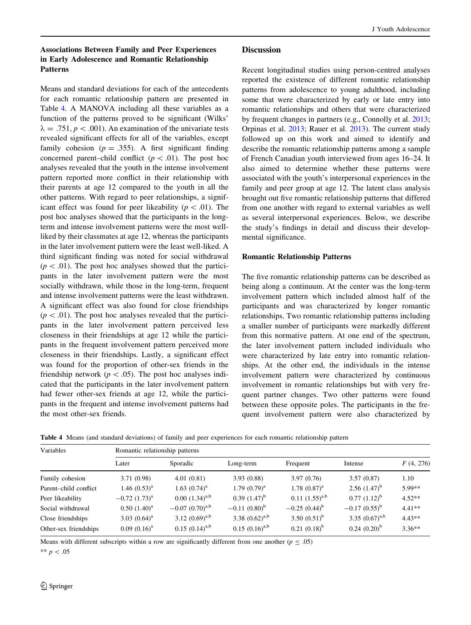## Associations Between Family and Peer Experiences in Early Adolescence and Romantic Relationship Patterns

Means and standard deviations for each of the antecedents for each romantic relationship pattern are presented in Table 4. A MANOVA including all these variables as a function of the patterns proved to be significant (Wilks'  $\lambda = .751, p < .001$ . An examination of the univariate tests revealed significant effects for all of the variables, except family cohesion ( $p = .355$ ). A first significant finding concerned parent–child conflict ( $p < .01$ ). The post hoc analyses revealed that the youth in the intense involvement pattern reported more conflict in their relationship with their parents at age 12 compared to the youth in all the other patterns. With regard to peer relationships, a significant effect was found for peer likeability ( $p\lt 0.01$ ). The post hoc analyses showed that the participants in the longterm and intense involvement patterns were the most wellliked by their classmates at age 12, whereas the participants in the later involvement pattern were the least well-liked. A third significant finding was noted for social withdrawal  $(p\lt 0.01)$ . The post hoc analyses showed that the participants in the later involvement pattern were the most socially withdrawn, while those in the long-term, frequent and intense involvement patterns were the least withdrawn. A significant effect was also found for close friendships  $(p\lt 0.01)$ . The post hoc analyses revealed that the participants in the later involvement pattern perceived less closeness in their friendships at age 12 while the participants in the frequent involvement pattern perceived more closeness in their friendships. Lastly, a significant effect was found for the proportion of other-sex friends in the friendship network ( $p < .05$ ). The post hoc analyses indicated that the participants in the later involvement pattern had fewer other-sex friends at age 12, while the participants in the frequent and intense involvement patterns had the most other-sex friends.

## **Discussion**

Recent longitudinal studies using person-centred analyses reported the existence of different romantic relationship patterns from adolescence to young adulthood, including some that were characterized by early or late entry into romantic relationships and others that were characterized by frequent changes in partners (e.g., Connolly et al. [2013](#page-11-0); Orpinas et al. [2013](#page-12-0); Rauer et al. [2013\)](#page-12-0). The current study followed up on this work and aimed to identify and describe the romantic relationship patterns among a sample of French Canadian youth interviewed from ages 16–24. It also aimed to determine whether these patterns were associated with the youth's interpersonal experiences in the family and peer group at age 12. The latent class analysis brought out five romantic relationship patterns that differed from one another with regard to external variables as well as several interpersonal experiences. Below, we describe the study's findings in detail and discuss their developmental significance.

## Romantic Relationship Patterns

The five romantic relationship patterns can be described as being along a continuum. At the center was the long-term involvement pattern which included almost half of the participants and was characterized by longer romantic relationships. Two romantic relationship patterns including a smaller number of participants were markedly different from this normative pattern. At one end of the spectrum, the later involvement pattern included individuals who were characterized by late entry into romantic relationships. At the other end, the individuals in the intense involvement pattern were characterized by continuous involvement in romantic relationships but with very frequent partner changes. Two other patterns were found between these opposite poles. The participants in the frequent involvement pattern were also characterized by

Table 4 Means (and standard deviations) of family and peer experiences for each romantic relationship pattern

| Variables             | Romantic relationship patterns |                       |                     |                       |                     |           |  |  |
|-----------------------|--------------------------------|-----------------------|---------------------|-----------------------|---------------------|-----------|--|--|
|                       | Later                          | Sporadic              | Long-term           | Frequent              | Intense             | F(4, 276) |  |  |
| Family cohesion       | 3.71(0.98)                     | 4.01(0.81)            | 3.93(0.88)          | 3.97(0.76)            | 3.57(0.87)          | 1.10      |  |  |
| Parent-child conflict | 1.46 $(0.53)^a$                | 1.63 $(0.74)^a$       | $1.79(0.79)^a$      | $1.78~(0.87)^a$       | 2.56 $(1.47)^b$     | 5.99**    |  |  |
| Peer likeability      | $-0.72$ $(1.73)^{a}$           | $0.00$ $(1.34)^{a,b}$ | $0.39(1.47)^b$      | $0.11$ $(1.55)^{a,b}$ | $0.77~(1.12)^{b}$   | $4.52**$  |  |  |
| Social withdrawal     | $0.50(1.40)^a$                 | $-0.07 (0.70)^{a,b}$  | $-0.11(0.80)^{b}$   | $-0.25(0.44)^{b}$     | $-0.17(0.55)^{b}$   | $4.41**$  |  |  |
| Close friendships     | 3.03 $(0.64)^a$                | 3.12 $(0.69)^{a,b}$   | 3.38 $(0.62)^{a,b}$ | 3.50 $(0.51)^b$       | 3.35 $(0.67)^{a,b}$ | $4.43**$  |  |  |
| Other-sex friendships | $0.09(0.16)^a$                 | $0.15 (0.14)^{a,b}$   | $0.15 (0.16)^{a,b}$ | $0.21 (0.18)^b$       | $0.24$ $(0.20)^{b}$ | $3.36**$  |  |  |

Means with different subscripts within a row are significantly different from one another ( $p \le .05$ )

\*\*  $p < .05$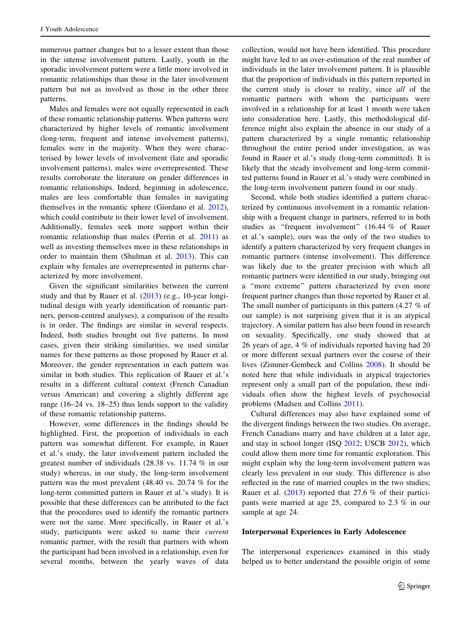numerous partner changes but to a lesser extent than those in the intense involvement pattern. Lastly, youth in the sporadic involvement pattern were a little more involved in romantic relationships than those in the later involvement pattern but not as involved as those in the other three patterns.

Males and females were not equally represented in each of these romantic relationship patterns. When patterns were characterized by higher levels of romantic involvement (long-term, frequent and intense involvement patterns), females were in the majority. When they were characterised by lower levels of involvement (late and sporadic involvement patterns), males were overrepresented. These results corroborate the literature on gender differences in romantic relationships. Indeed, beginning in adolescence, males are less comfortable than females in navigating themselves in the romantic sphere (Giordano et al. [2012](#page-11-0)), which could contribute to their lower level of involvement. Additionally, females seek more support within their romantic relationship than males (Perrin et al. [2011\)](#page-12-0) as well as investing themselves more in these relationships in order to maintain them (Shulman et al. [2013\)](#page-12-0). This can explain why females are overrepresented in patterns characterized by more involvement.

Given the significant similarities between the current study and that by Rauer et al. ([2013\)](#page-12-0) (e.g., 10-year longitudinal design with yearly identification of romantic partners, person-centred analyses), a comparison of the results is in order. The findings are similar in several respects. Indeed, both studies brought out five patterns. In most cases, given their striking similarities, we used similar names for these patterns as those proposed by Rauer et al. Moreover, the gender representation in each pattern was similar in both studies. This replication of Rauer et al.'s results in a different cultural context (French Canadian versus American) and covering a slightly different age range (16–24 vs. 18–25) thus lends support to the validity of these romantic relationship patterns.

However, some differences in the findings should be highlighted. First, the proportion of individuals in each pattern was somewhat different. For example, in Rauer et al.'s study, the later involvement pattern included the greatest number of individuals (28.38 vs. 11.74 % in our study) whereas, in our study, the long-term involvement pattern was the most prevalent (48.40 vs. 20.74 % for the long-term committed pattern in Rauer et al.'s study). It is possible that these differences can be attributed to the fact that the procedures used to identify the romantic partners were not the same. More specifically, in Rauer et al.'s study, participants were asked to name their current romantic partner, with the result that partners with whom the participant had been involved in a relationship, even for several months, between the yearly waves of data collection, would not have been identified. This procedure might have led to an over-estimation of the real number of individuals in the later involvement pattern. It is plausible that the proportion of individuals in this pattern reported in the current study is closer to reality, since all of the romantic partners with whom the participants were involved in a relationship for at least 1 month were taken into consideration here. Lastly, this methodological difference might also explain the absence in our study of a pattern characterized by a single romantic relationship throughout the entire period under investigation, as was found in Rauer et al.'s study (long-term committed). It is likely that the steady involvement and long-term committed patterns found in Rauer et al.'s study were combined in the long-term involvement pattern found in our study.

Second, while both studies identified a pattern characterized by continuous involvement in a romantic relationship with a frequent change in partners, referred to in both studies as ''frequent involvement'' (16.44 % of Rauer et al.'s sample), ours was the only of the two studies to identify a pattern characterized by very frequent changes in romantic partners (intense involvement). This difference was likely due to the greater precision with which all romantic partners were identified in our study, bringing out a ''more extreme'' pattern characterized by even more frequent partner changes than those reported by Rauer et al. The small number of participants in this pattern (4.27 % of our sample) is not surprising given that it is an atypical trajectory. A similar pattern has also been found in research on sexuality. Specifically, one study showed that at 26 years of age, 4 % of individuals reported having had 20 or more different sexual partners over the course of their lives (Zimmer-Gembeck and Collins [2008](#page-12-0)). It should be noted here that while individuals in atypical trajectories represent only a small part of the population, these individuals often show the highest levels of psychosocial problems (Madsen and Collins [2011\)](#page-12-0).

Cultural differences may also have explained some of the divergent findings between the two studies. On average, French Canadians marry and have children at a later age, and stay in school longer (ISQ [2012](#page-12-0); USCB [2012\)](#page-12-0), which could allow them more time for romantic exploration. This might explain why the long-term involvement pattern was clearly less prevalent in our study. This difference is also reflected in the rate of married couples in the two studies; Rauer et al. ([2013\)](#page-12-0) reported that 27.6 % of their participants were married at age 25, compared to 2.3 % in our sample at age 24.

#### Interpersonal Experiences in Early Adolescence

The interpersonal experiences examined in this study helped us to better understand the possible origin of some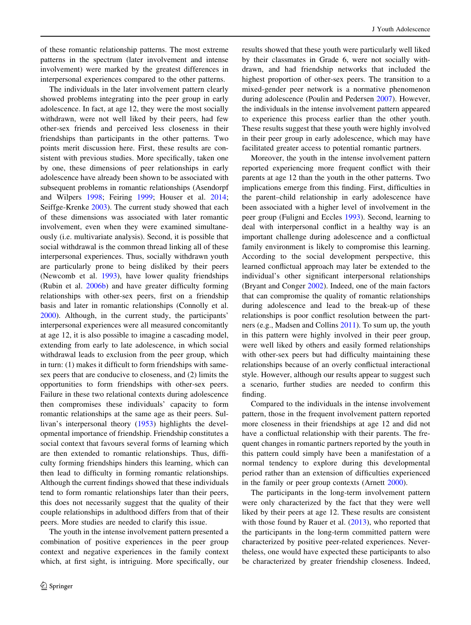of these romantic relationship patterns. The most extreme patterns in the spectrum (later involvement and intense involvement) were marked by the greatest differences in interpersonal experiences compared to the other patterns.

The individuals in the later involvement pattern clearly showed problems integrating into the peer group in early adolescence. In fact, at age 12, they were the most socially withdrawn, were not well liked by their peers, had few other-sex friends and perceived less closeness in their friendships than participants in the other patterns. Two points merit discussion here. First, these results are consistent with previous studies. More specifically, taken one by one, these dimensions of peer relationships in early adolescence have already been shown to be associated with subsequent problems in romantic relationships (Asendorpf and Wilpers [1998](#page-11-0); Feiring [1999](#page-11-0); Houser et al. [2014](#page-12-0); Seiffge-Krenke [2003\)](#page-12-0). The current study showed that each of these dimensions was associated with later romantic involvement, even when they were examined simultaneously (i.e. multivariate analysis). Second, it is possible that social withdrawal is the common thread linking all of these interpersonal experiences. Thus, socially withdrawn youth are particularly prone to being disliked by their peers (Newcomb et al. [1993](#page-12-0)), have lower quality friendships (Rubin et al. [2006b\)](#page-12-0) and have greater difficulty forming relationships with other-sex peers, first on a friendship basis and later in romantic relationships (Connolly et al. [2000\)](#page-11-0). Although, in the current study, the participants' interpersonal experiences were all measured concomitantly at age 12, it is also possible to imagine a cascading model, extending from early to late adolescence, in which social withdrawal leads to exclusion from the peer group, which in turn: (1) makes it difficult to form friendships with samesex peers that are conducive to closeness, and (2) limits the opportunities to form friendships with other-sex peers. Failure in these two relational contexts during adolescence then compromises these individuals' capacity to form romantic relationships at the same age as their peers. Sullivan's interpersonal theory ([1953\)](#page-12-0) highlights the developmental importance of friendship. Friendship constitutes a social context that favours several forms of learning which are then extended to romantic relationships. Thus, difficulty forming friendships hinders this learning, which can then lead to difficulty in forming romantic relationships. Although the current findings showed that these individuals tend to form romantic relationships later than their peers, this does not necessarily suggest that the quality of their couple relationships in adulthood differs from that of their peers. More studies are needed to clarify this issue.

The youth in the intense involvement pattern presented a combination of positive experiences in the peer group context and negative experiences in the family context which, at first sight, is intriguing. More specifically, our results showed that these youth were particularly well liked by their classmates in Grade 6, were not socially withdrawn, and had friendship networks that included the highest proportion of other-sex peers. The transition to a mixed-gender peer network is a normative phenomenon during adolescence (Poulin and Pedersen [2007](#page-12-0)). However, the individuals in the intense involvement pattern appeared to experience this process earlier than the other youth. These results suggest that these youth were highly involved in their peer group in early adolescence, which may have facilitated greater access to potential romantic partners.

Moreover, the youth in the intense involvement pattern reported experiencing more frequent conflict with their parents at age 12 than the youth in the other patterns. Two implications emerge from this finding. First, difficulties in the parent–child relationship in early adolescence have been associated with a higher level of involvement in the peer group (Fuligni and Eccles [1993\)](#page-11-0). Second, learning to deal with interpersonal conflict in a healthy way is an important challenge during adolescence and a conflictual family environment is likely to compromise this learning. According to the social development perspective, this learned conflictual approach may later be extended to the individual's other significant interpersonal relationships (Bryant and Conger [2002](#page-11-0)). Indeed, one of the main factors that can compromise the quality of romantic relationships during adolescence and lead to the break-up of these relationships is poor conflict resolution between the partners (e.g., Madsen and Collins [2011\)](#page-12-0). To sum up, the youth in this pattern were highly involved in their peer group, were well liked by others and easily formed relationships with other-sex peers but had difficulty maintaining these relationships because of an overly conflictual interactional style. However, although our results appear to suggest such a scenario, further studies are needed to confirm this finding.

Compared to the individuals in the intense involvement pattern, those in the frequent involvement pattern reported more closeness in their friendships at age 12 and did not have a conflictual relationship with their parents. The frequent changes in romantic partners reported by the youth in this pattern could simply have been a manifestation of a normal tendency to explore during this developmental period rather than an extension of difficulties experienced in the family or peer group contexts (Arnett [2000](#page-11-0)).

The participants in the long-term involvement pattern were only characterized by the fact that they were well liked by their peers at age 12. These results are consistent with those found by Rauer et al.  $(2013)$  $(2013)$ , who reported that the participants in the long-term committed pattern were characterized by positive peer-related experiences. Nevertheless, one would have expected these participants to also be characterized by greater friendship closeness. Indeed,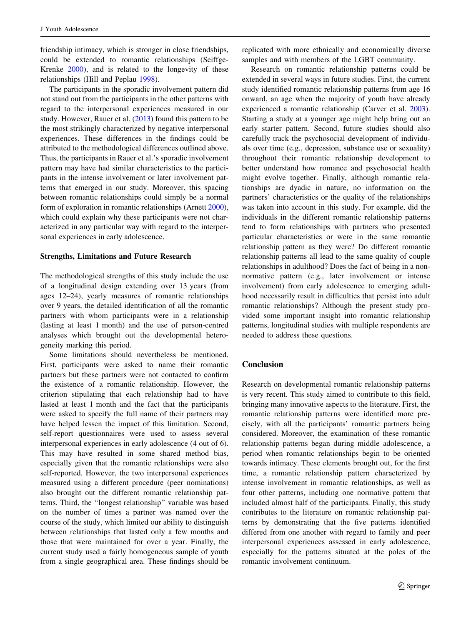friendship intimacy, which is stronger in close friendships, could be extended to romantic relationships (Seiffge-Krenke [2000\)](#page-12-0), and is related to the longevity of these relationships (Hill and Peplau [1998](#page-11-0)).

The participants in the sporadic involvement pattern did not stand out from the participants in the other patterns with regard to the interpersonal experiences measured in our study. However, Rauer et al. ([2013\)](#page-12-0) found this pattern to be the most strikingly characterized by negative interpersonal experiences. These differences in the findings could be attributed to the methodological differences outlined above. Thus, the participants in Rauer et al.'s sporadic involvement pattern may have had similar characteristics to the participants in the intense involvement or later involvement patterns that emerged in our study. Moreover, this spacing between romantic relationships could simply be a normal form of exploration in romantic relationships (Arnett [2000](#page-11-0)), which could explain why these participants were not characterized in any particular way with regard to the interpersonal experiences in early adolescence.

#### Strengths, Limitations and Future Research

The methodological strengths of this study include the use of a longitudinal design extending over 13 years (from ages 12–24), yearly measures of romantic relationships over 9 years, the detailed identification of all the romantic partners with whom participants were in a relationship (lasting at least 1 month) and the use of person-centred analyses which brought out the developmental heterogeneity marking this period.

Some limitations should nevertheless be mentioned. First, participants were asked to name their romantic partners but these partners were not contacted to confirm the existence of a romantic relationship. However, the criterion stipulating that each relationship had to have lasted at least 1 month and the fact that the participants were asked to specify the full name of their partners may have helped lessen the impact of this limitation. Second, self-report questionnaires were used to assess several interpersonal experiences in early adolescence (4 out of 6). This may have resulted in some shared method bias, especially given that the romantic relationships were also self-reported. However, the two interpersonal experiences measured using a different procedure (peer nominations) also brought out the different romantic relationship patterns. Third, the ''longest relationship'' variable was based on the number of times a partner was named over the course of the study, which limited our ability to distinguish between relationships that lasted only a few months and those that were maintained for over a year. Finally, the current study used a fairly homogeneous sample of youth from a single geographical area. These findings should be replicated with more ethnically and economically diverse samples and with members of the LGBT community.

Research on romantic relationship patterns could be extended in several ways in future studies. First, the current study identified romantic relationship patterns from age 16 onward, an age when the majority of youth have already experienced a romantic relationship (Carver et al. [2003](#page-11-0)). Starting a study at a younger age might help bring out an early starter pattern. Second, future studies should also carefully track the psychosocial development of individuals over time (e.g., depression, substance use or sexuality) throughout their romantic relationship development to better understand how romance and psychosocial health might evolve together. Finally, although romantic relationships are dyadic in nature, no information on the partners' characteristics or the quality of the relationships was taken into account in this study. For example, did the individuals in the different romantic relationship patterns tend to form relationships with partners who presented particular characteristics or were in the same romantic relationship pattern as they were? Do different romantic relationship patterns all lead to the same quality of couple relationships in adulthood? Does the fact of being in a nonnormative pattern (e.g., later involvement or intense involvement) from early adolescence to emerging adulthood necessarily result in difficulties that persist into adult romantic relationships? Although the present study provided some important insight into romantic relationship patterns, longitudinal studies with multiple respondents are needed to address these questions.

## Conclusion

Research on developmental romantic relationship patterns is very recent. This study aimed to contribute to this field, bringing many innovative aspects to the literature. First, the romantic relationship patterns were identified more precisely, with all the participants' romantic partners being considered. Moreover, the examination of these romantic relationship patterns began during middle adolescence, a period when romantic relationships begin to be oriented towards intimacy. These elements brought out, for the first time, a romantic relationship pattern characterized by intense involvement in romantic relationships, as well as four other patterns, including one normative pattern that included almost half of the participants. Finally, this study contributes to the literature on romantic relationship patterns by demonstrating that the five patterns identified differed from one another with regard to family and peer interpersonal experiences assessed in early adolescence, especially for the patterns situated at the poles of the romantic involvement continuum.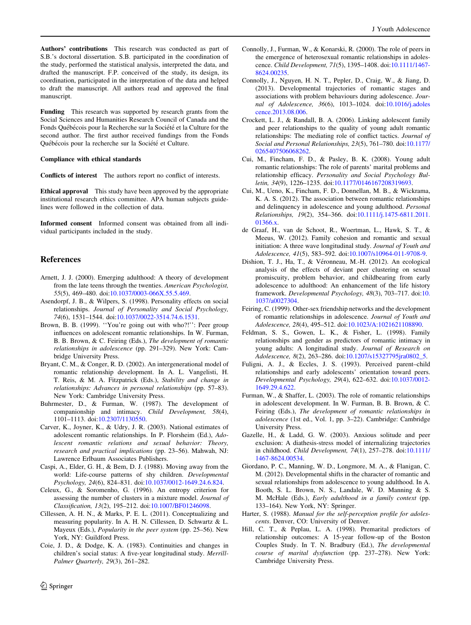<span id="page-11-0"></span>Authors' contributions This research was conducted as part of S.B.'s doctoral dissertation. S.B. participated in the coordination of the study, performed the statistical analysis, interpreted the data, and drafted the manuscript. F.P. conceived of the study, its design, its coordination, participated in the interpretation of the data and helped to draft the manuscript. All authors read and approved the final manuscript.

Funding This research was supported by research grants from the Social Sciences and Humanities Research Council of Canada and the Fonds Québécois pour la Recherche sur la Société et la Culture for the second author. The first author received fundings from the Fonds Québécois pour la recherche sur la Société et Culture.

#### Compliance with ethical standards

Conflicts of interest The authors report no conflict of interests.

Ethical approval This study have been approved by the appropriate institutional research ethics committee. APA human subjects guidelines were followed in the collection of data.

Informed consent Informed consent was obtained from all individual participants included in the study.

## References

- Arnett, J. J. (2000). Emerging adulthood: A theory of development from the late teens through the twenties. American Psychologist, 55(5), 469–480. doi[:10.1037/0003-066X.55.5.469](http://dx.doi.org/10.1037/0003-066X.55.5.469).
- Asendorpf, J. B., & Wilpers, S. (1998). Personality effects on social relationships. Journal of Personality and Social Psychology, 74(6), 1531–1544. doi:[10.1037/0022-3514.74.6.1531](http://dx.doi.org/10.1037/0022-3514.74.6.1531).
- Brown, B. B. (1999). "You're going out with who?!": Peer group influences on adolescent romantic relationships. In W. Furman, B. B. Brown, & C. Feiring (Eds.), The development of romantic relationships in adolescence (pp. 291–329). New York: Cambridge University Press.
- Bryant, C. M., & Conger, R. D. (2002). An intergenerational model of romantic relationship development. In A. L. Vangelisti, H. T. Reis, & M. A. Fitzpatrick (Eds.), Stability and change in relationships: Advances in personal relationships (pp. 57–83). New York: Cambridge University Press.
- Buhrmester, D., & Furman, W. (1987). The development of companionship and intimacy. Child Development, 58(4), 1101–1113. doi[:10.2307/1130550.](http://dx.doi.org/10.2307/1130550)
- Carver, K., Joyner, K., & Udry, J. R. (2003). National estimates of adolescent romantic relationships. In P. Florsheim (Ed.), Adolescent romantic relations and sexual behavior: Theory, research and practical implications (pp. 23–56). Mahwah, NJ: Lawrence Erlbaum Associates Publishers.
- Caspi, A., Elder, G. H., & Bem, D. J. (1988). Moving away from the world: Life-course patterns of shy children. Developmental Psychology, 24(6), 824–831. doi[:10.1037/0012-1649.24.6.824.](http://dx.doi.org/10.1037/0012-1649.24.6.824)
- Celeux, G., & Soromenho, G. (1996). An entropy criterion for assessing the number of clusters in a mixture model. Journal of Classification, 13(2), 195–212. doi:[10.1007/BF01246098.](http://dx.doi.org/10.1007/BF01246098)
- Cillessen, A. H. N., & Marks, P. E. L. (2011). Conceptualizing and measuring popularity. In A. H. N. Cillessen, D. Schwartz & L. Mayeux (Eds.), Popularity in the peer system (pp. 25–56). New York, NY: Guildford Press.
- Coie, J. D., & Dodge, K. A. (1983). Continuities and changes in children's social status: A five-year longitudinal study. Merrill-Palmer Quarterly, 29(3), 261–282.
- Connolly, J., Furman, W., & Konarski, R. (2000). The role of peers in the emergence of heterosexual romantic relationships in adolescence. Child Development, 71(5), 1395–1408. doi:[10.1111/1467-](http://dx.doi.org/10.1111/1467-8624.00235) [8624.00235](http://dx.doi.org/10.1111/1467-8624.00235).
- Connolly, J., Nguyen, H. N. T., Pepler, D., Craig, W., & Jiang, D. (2013). Developmental trajectories of romantic stages and associations with problem behaviours during adolescence. Journal of Adolescence, 36(6), 1013–1024. doi[:10.1016/j.adoles](http://dx.doi.org/10.1016/j.adolescence.2013.08.006) [cence.2013.08.006](http://dx.doi.org/10.1016/j.adolescence.2013.08.006).
- Crockett, L. J., & Randall, B. A. (2006). Linking adolescent family and peer relationships to the quality of young adult romantic relationships: The mediating role of conflict tactics. Journal of Social and Personal Relationships, 23(5), 761–780. doi[:10.1177/](http://dx.doi.org/10.1177/0265407506068262) [0265407506068262.](http://dx.doi.org/10.1177/0265407506068262)
- Cui, M., Fincham, F. D., & Pasley, B. K. (2008). Young adult romantic relationships: The role of parents' marital problems and relationship efficacy. Personality and Social Psychology Bulletin, 34(9), 1226–1235. doi:[10.1177/0146167208319693](http://dx.doi.org/10.1177/0146167208319693).
- Cui, M., Ueno, K., Fincham, F. D., Donnellan, M. B., & Wickrama, K. A. S. (2012). The association between romantic relationships and delinquency in adolescence and young adulthood. Personal Relationships, 19(2), 354–366. doi:[10.1111/j.1475-6811.2011.](http://dx.doi.org/10.1111/j.1475-6811.2011.01366.x) [01366.x.](http://dx.doi.org/10.1111/j.1475-6811.2011.01366.x)
- de Graaf, H., van de Schoot, R., Woertman, L., Hawk, S. T., & Meeus, W. (2012). Family cohesion and romantic and sexual initiation: A three wave longitudinal study. Journal of Youth and Adolescence, 41(5), 583–592. doi:[10.1007/s10964-011-9708-9](http://dx.doi.org/10.1007/s10964-011-9708-9).
- Dishion, T. J., Ha, T., & Véronneau, M.-H. (2012). An ecological analysis of the effects of deviant peer clustering on sexual promiscuity, problem behavior, and childbearing from early adolescence to adulthood: An enhancement of the life history framework. Developmental Psychology, 48(3), 703–717. doi:[10.](http://dx.doi.org/10.1037/a0027304) [1037/a0027304.](http://dx.doi.org/10.1037/a0027304)
- Feiring, C. (1999). Other-sex friendship networks and the development of romantic relationships in adolescence. Journal of Youth and Adolescence, 28(4), 495–512. doi[:10.1023/A:1021621108890.](http://dx.doi.org/10.1023/A:1021621108890)
- Feldman, S. S., Gowen, L. K., & Fisher, L. (1998). Family relationships and gender as predictors of romantic intimacy in young adults: A longitudinal study. Journal of Research on Adolescence, 8(2), 263–286. doi[:10.1207/s15327795jra0802\\_5.](http://dx.doi.org/10.1207/s15327795jra0802_5)
- Fuligni, A. J., & Eccles, J. S. (1993). Perceived parent–child relationships and early adolescents' orientation toward peers. Developmental Psychology, 29(4), 622–632. doi:[10.1037/0012-](http://dx.doi.org/10.1037/0012-1649.29.4.622) [1649.29.4.622.](http://dx.doi.org/10.1037/0012-1649.29.4.622)
- Furman, W., & Shaffer, L. (2003). The role of romantic relationships in adolescent development. In W. Furman, B. B. Brown, & C. Feiring (Eds.), The development of romantic relationships in adolescence (1st ed., Vol. 1, pp. 3–22). Cambridge: Cambridge University Press.
- Gazelle, H., & Ladd, G. W. (2003). Anxious solitude and peer exclusion: A diathesis-stress model of internalizing trajectories in childhood. Child Development, 74(1), 257–278. doi[:10.1111/](http://dx.doi.org/10.1111/1467-8624.00534) [1467-8624.00534](http://dx.doi.org/10.1111/1467-8624.00534).
- Giordano, P. C., Manning, W. D., Longmore, M. A., & Flanigan, C. M. (2012). Developmental shifts in the character of romantic and sexual relationships from adolescence to young adulthood. In A. Booth, S. L. Brown, N. S., Landale, W. D. Manning & S. M. McHale (Eds.), Early adulthood in a family context (pp. 133–164). New York, NY: Springer.
- Harter, S. (1988). Manual for the self-perception profile for adolescents. Denver, CO: University of Denver.
- Hill, C. T., & Peplau, L. A. (1998). Premarital predictors of relationship outcomes: A 15-year follow-up of the Boston Couples Study. In T. N. Bradbury (Ed.), The developmental course of marital dysfunction (pp. 237–278). New York: Cambridge University Press.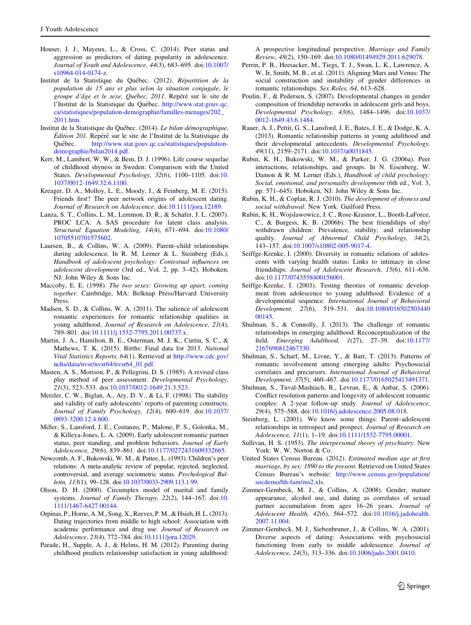- <span id="page-12-0"></span>Houser, J. J., Mayeux, L., & Cross, C. (2014). Peer status and aggression as predictors of dating popularity in adolescence. Journal of Youth and Adolescence, 44(3), 683–695. doi[:10.1007/](http://dx.doi.org/10.1007/s10964-014-0174-z) [s10964-014-0174-z](http://dx.doi.org/10.1007/s10964-014-0174-z).
- Institut de la Statistique du Québec. (2012). Répartition de la population de 15 ans et plus selon la situation conjugale, le groupe d'âge et le sexe, Québec, 2011. Repéré sur le site de l'Institut de la Statistique du Québec. [http://www.stat.gouv.qc.](http://www.stat.gouv.qc.ca/statistiques/population-demographie/familles-menages/202_2011.htm) [ca/statistiques/population-demographie/familles-menages/202\\_](http://www.stat.gouv.qc.ca/statistiques/population-demographie/familles-menages/202_2011.htm) [2011.htm](http://www.stat.gouv.qc.ca/statistiques/population-demographie/familles-menages/202_2011.htm).
- Institut de la Statistique du Québec. (2014). Le bilan démographique, Édition 201. Repéré sur le site de l'Institut de la Statistique du Que´bec. [http://www.stat.gouv.qc.ca/statistiques/population](http://www.stat.gouv.qc.ca/statistiques/population-demographie/bilan2014.pdf)[demographie/bilan2014.pdf](http://www.stat.gouv.qc.ca/statistiques/population-demographie/bilan2014.pdf).
- Kerr, M., Lambert, W. W., & Bem, D. J. (1996). Life course sequelae of childhood shyness in Sweden: Comparison with the United States. Developmental Psychology, 32(6), 1100-1105. doi:[10.](http://dx.doi.org/10.1037/0012-1649.32.6.1100) [1037/0012-1649.32.6.1100](http://dx.doi.org/10.1037/0012-1649.32.6.1100).
- Kreager, D. A., Molloy, L. E., Moody, J., & Feinberg, M. E. (2015). Friends first? The peer network origins of adolescent dating. Journal of Research on Adolescence. doi[:10.1111/jora.12189](http://dx.doi.org/10.1111/jora.12189).
- Lanza, S. T., Collins, L. M., Lemmon, D. R., & Schafer, J. L. (2007). PROC LCA: A SAS procedure for latent class analysis. Structural Equation Modeling, 14(4), 671–694. doi[:10.1080/](http://dx.doi.org/10.1080/10705510701575602) [10705510701575602](http://dx.doi.org/10.1080/10705510701575602).
- Laursen, B., & Collins, W. A. (2009). Parent–child relationships during adolescence. In R. M. Lerner & L. Steinberg (Eds.), Handbook of adolescent psychology: Contextual influences on adolescent development (3rd ed., Vol. 2, pp. 3–42). Hoboken, NJ: John Wiley & Sons Inc.
- Maccoby, E. E. (1998). The two sexes: Growing up apart, coming together. Cambridge, MA: Belknap Press/Harvard University Press.
- Madsen, S. D., & Collins, W. A. (2011). The salience of adolescent romantic experiences for romantic relationship qualities in young adulthood. Journal of Research on Adolescence, 21(4), 789–801. doi:[10.1111/j.1532-7795.2011.00737.x.](http://dx.doi.org/10.1111/j.1532-7795.2011.00737.x)
- Martin, J. A., Hamilton, B. E., Osterman, M. J. K., Curtin, S. C., & Mathews, T. K. (2015). Births: Final data for 2013. National Vital Statistics Reports, 64(1). Retrieved at [http://www.cdc.gov/](http://www.cdc.gov/nchs/data/nvsr/nvsr64/nvsr64_01.pdf) [nchs/data/nvsr/nvsr64/nvsr64\\_01.pdf.](http://www.cdc.gov/nchs/data/nvsr/nvsr64/nvsr64_01.pdf)
- Masten, A. S., Morison, P., & Pellegrini, D. S. (1985). A revised class play method of peer assessment. Developmental Psychology, 21(3), 523–533. doi[:10.1037/0012-1649.21.3.523.](http://dx.doi.org/10.1037/0012-1649.21.3.523)
- Metzler, C. W., Biglan, A., Ary, D. V., & Li, F. (1998). The stability and validity of early adolescents' reports of parenting constructs. Journal of Family Psychology, 12(4), 600–619. doi[:10.1037/](http://dx.doi.org/10.1037/0893-3200.12.4.600) [0893-3200.12.4.600.](http://dx.doi.org/10.1037/0893-3200.12.4.600)
- Miller, S., Lansford, J. E., Costanzo, P., Malone, P. S., Golonka, M., & Killeya-Jones, L. A. (2009). Early adolescent romantic partner status, peer standing, and problem behaviors. Journal of Early Adolescence, 29(6), 839–861. doi:[10.1177/0272431609332665](http://dx.doi.org/10.1177/0272431609332665).
- Newcomb, A. F., Bukowski, W. M., & Pattee, L. (1993). Children's peer relations: A meta-analytic review of popular, rejected, neglected, controversial, and average sociometric status. Psychological Bulletin, 113(1), 99–128. doi[:10.1037/0033-2909.113.1.99](http://dx.doi.org/10.1037/0033-2909.113.1.99).
- Olson, D. H. (2000). Circumplex model of marital and family systems. Journal of Family Therapy, 22(2), 144-167. doi:[10.](http://dx.doi.org/10.1111/1467-6427.00144) [1111/1467-6427.00144](http://dx.doi.org/10.1111/1467-6427.00144).
- Orpinas, P., Horne, A.M., Song, X., Reeves, P.M., & Hsieh, H. L. (2013). Dating trajectories from middle to high school: Association with academic performance and drug use. Journal of Research on Adolescence, 23(4), 772–784. doi[:10.1111/jora.12029.](http://dx.doi.org/10.1111/jora.12029)
- Parade, H., Supple, A. J., & Helms, H. M. (2012). Parenting during childhood predicts relationship satisfaction in young adulthood:

A prospective longitudinal perspective. Marriage and Family Review, 48(2), 150–169. doi:[10.1080/01494929.2011.629078](http://dx.doi.org/10.1080/01494929.2011.629078).

- Perrin, P. B., Heesacker, M., Tiegs, T. J., Swan, L. K., Lawrence, A. W, Jr, Smith, M. B., et al. (2011). Aligning Mars and Venus: The social construction and instability of gender differences in romantic relationships. Sex Roles, 64, 613–628.
- Poulin, F., & Pedersen, S. (2007). Developmental changes in gender composition of friendship networks in adolescent girls and boys. Developmental Psychology, 43(6), 1484–1496. doi[:10.1037/](http://dx.doi.org/10.1037/0012-1649.43.6.1484) [0012-1649.43.6.1484.](http://dx.doi.org/10.1037/0012-1649.43.6.1484)
- Rauer, A. J., Pettit, G. S., Lansford, J. E., Bates, J. E., & Dodge, K. A. (2013). Romantic relationship patterns in young adulthood and their developmental antecedents. Developmental Psychology, 49(11), 2159–2171. doi:[10.1037/a0031845](http://dx.doi.org/10.1037/a0031845).
- Rubin, K. H., Bukowski, W. M., & Parker, J. G. (2006a). Peer interactions, relationships, and groups. In N. Eisenberg, W. Damon & R. M. Lerner (Eds.), Handbook of child psychology: Social, emotional, and personailty development (6th ed., Vol. 3, pp. 571–645). Hoboken, NJ: John Wiley & Sons Inc.
- Rubin, K. H., & Coplan, R. J. (2010). The development of shyness and social withdrawal. New York: Guilford Press.
- Rubin, K. H., Wojslawowicz, J. C., Rose-Krasnor, L., Booth-LaForce, C., & Burgess, K. B. (2006b). The best friendships of shy/ withdrawn children: Prevalence, stability, and relationship quality. Journal of Abnormal Child Psychology, 34(2), 143–157. doi:[10.1007/s10802-005-9017-4.](http://dx.doi.org/10.1007/s10802-005-9017-4)
- Seiffge-Krenke, I. (2000). Diversity in romantic relations of adolescents with varying health status: Links to intimacy in close friendships. Journal of Adolescent Research, 15(6), 611–636. doi[:10.1177/0743558400156001](http://dx.doi.org/10.1177/0743558400156001).
- Seiffge-Krenke, I. (2003). Testing theories of romantic development from adolescence to young adulthood: Evidence of a developmental sequence. International Journal of Behavioral Development, 27(6), 519–531. doi:[10.1080/016502503440](http://dx.doi.org/10.1080/01650250344000145) [00145](http://dx.doi.org/10.1080/01650250344000145).
- Shulman, S., & Connolly, J. (2013). The challenge of romantic relationships in emerging adulthood: Reconceptualization of the field. Emerging Adulthood, 1(27), 27–39. doi[:10.1177/](http://dx.doi.org/10.1177/2167696812467330) [2167696812467330.](http://dx.doi.org/10.1177/2167696812467330)
- Shulman, S., Scharf, M., Livne, Y., & Barr, T. (2013). Patterns of romantic involvement among emerging adults: Psychosocial correlates and precursors. International Journal of Behavioral Development, 37(5), 460–467. doi[:10.1177/0165025413491371.](http://dx.doi.org/10.1177/0165025413491371)
- Shulman, S., Tuval-Mashiach, R., Levran, E., & Anbar, S. (2006). Conflict resolution patterns and longevity of adolescent romantic couples: A 2-year follow-up study. Journal of Adolescence, 29(4), 575–588. doi[:10.1016/j.adolescence.2005.08.018](http://dx.doi.org/10.1016/j.adolescence.2005.08.018).
- Steinberg, L. (2001). We know some things: Parent–adolescent relationships in retrospect and prospect. Journal of Research on Adolescence, 11(1), 1–19. doi[:10.1111/1532-7795.00001.](http://dx.doi.org/10.1111/1532-7795.00001)
- Sullivan, H. S. (1953). The interpersonal theory of psychiatry. New York: W. W. Norton & Co.
- United States Census Bureau. (2012). Estimated median age at first marriage, by sex: 1890 to the present. Retrieved on United States Census Bureau's website: [http://www.census.gov/population/](http://www.census.gov/population/socdemo/hh-fam/ms2.xls) [socdemo/hh-fam/ms2.xls.](http://www.census.gov/population/socdemo/hh-fam/ms2.xls)
- Zimmer-Gembeck, M. J., & Collins, A. (2008). Gender, mature appearance, alcohol use, and dating as correlates of sexual partner accumulation from ages 16–26 years. Journal of Adolescent Health, 42(6), 564–572. doi[:10.1016/j.jadohealth.](http://dx.doi.org/10.1016/j.jadohealth.2007.11.004) [2007.11.004](http://dx.doi.org/10.1016/j.jadohealth.2007.11.004).
- Zimmer-Gembeck, M. J., Siebenbruner, J., & Collins, W. A. (2001). Diverse aspects of dating: Associations with psychosocial functioning from early to middle adolescence. Journal of Adolescence, 24(3), 313–336. doi:[10.1006/jado.2001.0410](http://dx.doi.org/10.1006/jado.2001.0410).